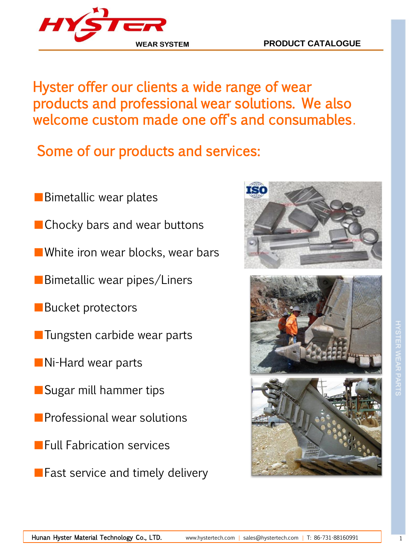# Hyster offer our clients a wide range of wear products and professional wear solutions. We also welcome custom made one off's and consumables.

Some of our products and services:

- ■Bimetallic wear plates
- Chocky bars and wear buttons
- ■White iron wear blocks, wear bars
- ■Bimetallic wear pipes/Liners
- ■Bucket protectors
- ■Tungsten carbide wear parts
- ■Ni-Hard wear parts
- Sugar mill hammer tips
- Professional wear solutions
- Full Fabrication services
- Fast service and timely delivery



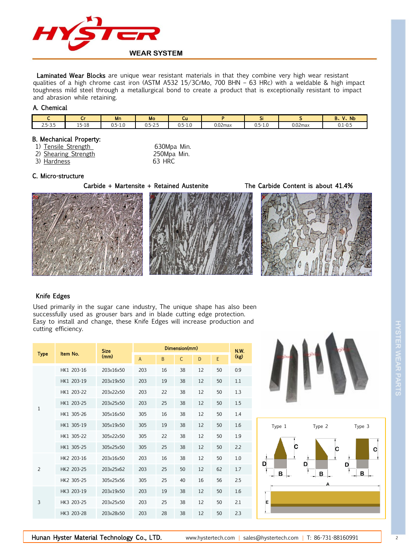

Laminated Wear Blocks are unique wear resistant materials in that they combine very high wear resistant qualities of a high chrome cast iron (ASTM A532 15/3CrMo, 700 BHN – 63 HRc) with a weldable & high impact toughness mild steel through a metallurgical bond to create a product that is exceptionally resistant to impact and abrasion while retaining.

#### A. Chemical

| $\sim$                                                      |                             | Mn                           | Mo                               | -<br>Сu                          |            | $\sim$<br>$\sim$                 |            | $\mathbf{v}$<br>Nb<br><b>D</b><br>D.<br>. . |
|-------------------------------------------------------------|-----------------------------|------------------------------|----------------------------------|----------------------------------|------------|----------------------------------|------------|---------------------------------------------|
| $\mathbf{a} = \mathbf{a} + \mathbf{b}$<br>$\sim$<br>ر.ر-ر.ر | $\sim$ $-$<br>$5 - 18$<br>∸ | F 10<br>ገ ፍ_ነ<br>-1.U<br>U.J | - -<br>$\sim$<br>$-$<br>ر<br>◡.◡ | $0.5 - 1$<br>۰<br>$\sim$<br>-1.U | $0.02$ max | $05 -$<br>$\sim$<br>-1.U<br>U.J' | $0.02$ max | $0.1 - 0.5$                                 |

#### B. Mechanical Property:

- 1) Tensile Strength 630Mpa Min.
- 2) Shearing Strength 250Mpa Min.
- 3) Hardness 63 HRC

### C. Micro-structure

Carbide + Martensite + Retained Austenite The Carbide Content is about 41.4%





#### Knife Edges

Used primarily in the sugar cane industry, The unique shape has also been successfully used as grouser bars and in blade cutting edge protection. Easy to install and change, these Knife Edges will increase production and cutting efficiency.

| <b>Type</b>    | Item No.   | <b>Size</b><br>(mm) |                | N.W.         |              |    |    |      |
|----------------|------------|---------------------|----------------|--------------|--------------|----|----|------|
|                |            |                     | $\overline{A}$ | <sub>B</sub> | $\mathsf{C}$ | D  | F  | (kg) |
| 1              | HK1 203-16 | 203x16x50           | 203            | 16           | 38           | 12 | 50 | 0.9  |
|                | HK1 203-19 | 203x19x50           | 203            | 19           | 38           | 12 | 50 | 1.1  |
|                | HK1 203-22 | 203x22x50           | 203            | 22           | 38           | 12 | 50 | 1.3  |
|                | HK1 203-25 | 203x25x50           | 203            | 25           | 38           | 12 | 50 | 1.5  |
|                | HK1 305-26 | 305x16x50           | 305            | 16           | 38           | 12 | 50 | 1.4  |
|                | HK1 305-19 | 305x19x50           | 305            | 19           | 38           | 12 | 50 | 1.6  |
|                | HK1 305-22 | 305x22x50           | 305            | 22           | 38           | 12 | 50 | 1.9  |
|                | HK1 305-25 | 305x25x50           | 305            | 25           | 38           | 12 | 50 | 2.2  |
| $\overline{2}$ | HK2 203-16 | 203x16x50           | 203            | 16           | 38           | 12 | 50 | 1.0  |
|                | HK2 203-25 | 203x25x62           | 203            | 25           | 50           | 12 | 62 | 1.7  |
|                | HK2 305-25 | 305x25x56           | 305            | 25           | 40           | 16 | 56 | 2.5  |
| 3              | HK3 203-19 | 203x19x50           | 203            | 19           | 38           | 12 | 50 | 1.6  |
|                | HK3 203-25 | 203x25x50           | 203            | 25           | 38           | 12 | 50 | 2.1  |
|                | HK3 203-28 | 203x28x50           | 203            | 28           | 38           | 12 | 50 | 2.3  |



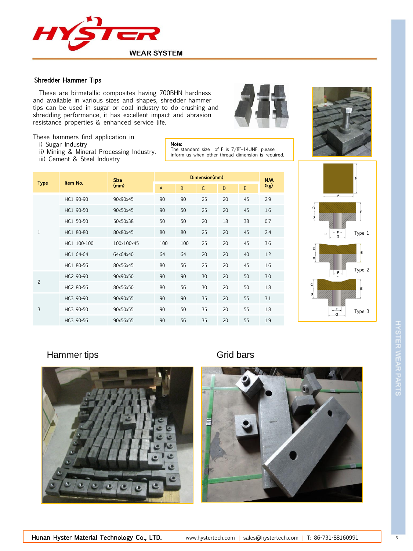

#### Shredder Hammer Tips

 These are bi-metallic composites having 700BHN hardness and available in various sizes and shapes, shredder hammer tips can be used in sugar or coal industry to do crushing and shredding performance, it has excellent impact and abrasion resistance properties & enhanced service life.





These hammers find application in

- i) Sugar Industry
- ii) Mining & Mineral Processing Industry.
- iii) Cement & Steel Industry

Note: The standard size of F is 7/8"–14UNF, please inform us when other thread dimension is required.

| <b>Type</b>    | Item No.    | <b>Size</b><br>(mm) |                | <b>N.W.</b> |              |    |    |      |
|----------------|-------------|---------------------|----------------|-------------|--------------|----|----|------|
|                |             |                     | $\overline{A}$ | B           | $\mathsf{C}$ | D  | E  | (kg) |
| $\mathbf{1}$   | HC1 90-90   | 90x90x45            | 90             | 90          | 25           | 20 | 45 | 2.9  |
|                | HC1 90-50   | 90x50x45            | 90             | 50          | 25           | 20 | 45 | 1.6  |
|                | HC1 50-50   | 50x50x38            | 50             | 50          | 20           | 18 | 38 | 0.7  |
|                | HC1 80-80   | 80x80x45            | 80             | 80          | 25           | 20 | 45 | 2.4  |
|                | HC1 100-100 | 100x100x45          | 100            | 100         | 25           | 20 | 45 | 3.6  |
|                | HC1 64-64   | 64x64x40            | 64             | 64          | 20           | 20 | 40 | 1.2  |
|                | HC1 80-56   | 80x56x45            | 80             | 56          | 25           | 20 | 45 | 1.6  |
| $\overline{c}$ | HC2 90-90   | 90x90x50            | 90             | 90          | 30           | 20 | 50 | 3.0  |
|                | HC2 80-56   | 80x56x50            | 80             | 56          | 30           | 20 | 50 | 1.8  |
| 3              | HC3 90-90   | 90x90x55            | 90             | 90          | 35           | 20 | 55 | 3.1  |
|                | HC3 90-50   | 90x50x55            | 90             | 50          | 35           | 20 | 55 | 1.8  |
|                | HC3 90-56   | 90x56x55            | 90             | 56          | 35           | 20 | 55 | 1.9  |



## Hammer tips Grid bars